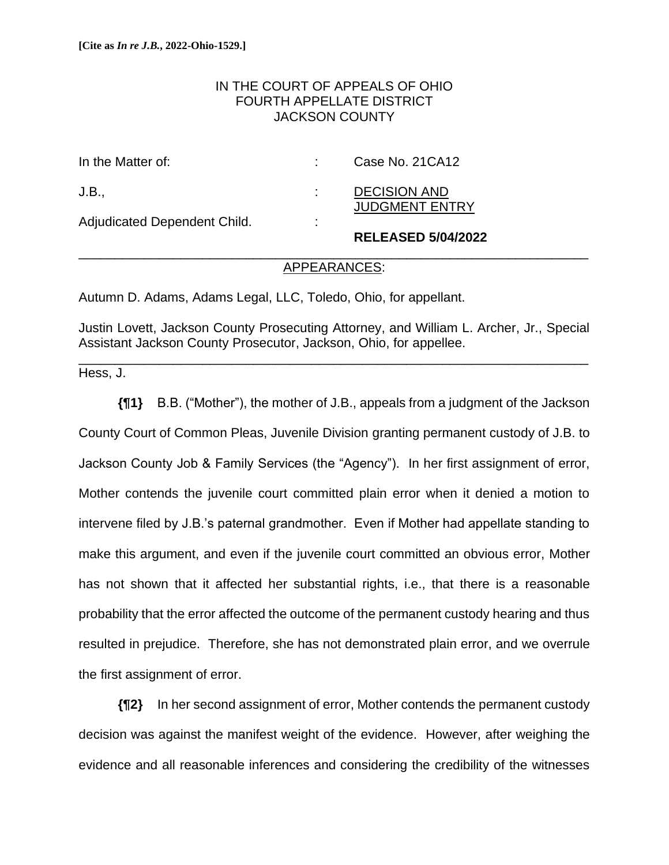# IN THE COURT OF APPEALS OF OHIO FOURTH APPELLATE DISTRICT JACKSON COUNTY

|                              |                     | <b>RELEASED 5/04/2022</b>                    |
|------------------------------|---------------------|----------------------------------------------|
| Adjudicated Dependent Child. | ٠<br>$\blacksquare$ |                                              |
| J.B.,                        |                     | <b>DECISION AND</b><br><b>JUDGMENT ENTRY</b> |
| In the Matter of:            |                     | Case No. 21 CA12                             |

## \_\_\_\_\_\_\_\_\_\_\_\_\_\_\_\_\_\_\_\_\_\_\_\_\_\_\_\_\_\_\_\_\_\_\_\_\_\_\_\_\_\_\_\_\_\_\_\_\_\_\_\_\_\_\_\_\_\_\_\_\_\_\_\_\_\_\_\_\_\_ APPEARANCES:

Autumn D. Adams, Adams Legal, LLC, Toledo, Ohio, for appellant.

Justin Lovett, Jackson County Prosecuting Attorney, and William L. Archer, Jr., Special Assistant Jackson County Prosecutor, Jackson, Ohio, for appellee.

\_\_\_\_\_\_\_\_\_\_\_\_\_\_\_\_\_\_\_\_\_\_\_\_\_\_\_\_\_\_\_\_\_\_\_\_\_\_\_\_\_\_\_\_\_\_\_\_\_\_\_\_\_\_\_\_\_\_\_\_\_\_\_\_\_\_\_\_\_\_

Hess, J.

**{¶1}** B.B. ("Mother"), the mother of J.B., appeals from a judgment of the Jackson County Court of Common Pleas, Juvenile Division granting permanent custody of J.B. to Jackson County Job & Family Services (the "Agency"). In her first assignment of error, Mother contends the juvenile court committed plain error when it denied a motion to intervene filed by J.B.'s paternal grandmother. Even if Mother had appellate standing to make this argument, and even if the juvenile court committed an obvious error, Mother has not shown that it affected her substantial rights, i.e., that there is a reasonable probability that the error affected the outcome of the permanent custody hearing and thus resulted in prejudice. Therefore, she has not demonstrated plain error, and we overrule the first assignment of error.

**{¶2}** In her second assignment of error, Mother contends the permanent custody decision was against the manifest weight of the evidence. However, after weighing the evidence and all reasonable inferences and considering the credibility of the witnesses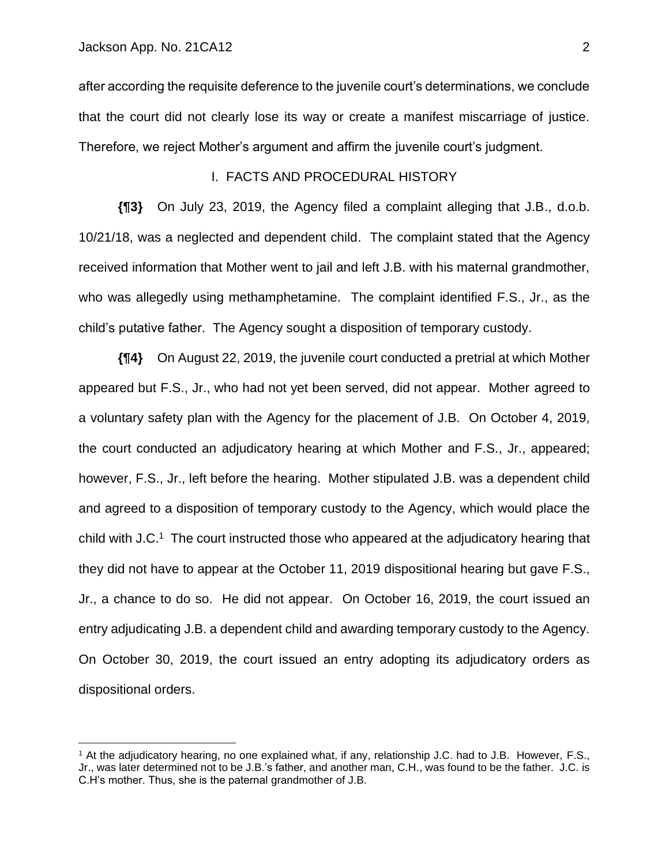after according the requisite deference to the juvenile court's determinations, we conclude that the court did not clearly lose its way or create a manifest miscarriage of justice. Therefore, we reject Mother's argument and affirm the juvenile court's judgment.

#### I. FACTS AND PROCEDURAL HISTORY

**{¶3}** On July 23, 2019, the Agency filed a complaint alleging that J.B., d.o.b. 10/21/18, was a neglected and dependent child. The complaint stated that the Agency received information that Mother went to jail and left J.B. with his maternal grandmother, who was allegedly using methamphetamine. The complaint identified F.S., Jr., as the child's putative father. The Agency sought a disposition of temporary custody.

**{¶4}** On August 22, 2019, the juvenile court conducted a pretrial at which Mother appeared but F.S., Jr., who had not yet been served, did not appear. Mother agreed to a voluntary safety plan with the Agency for the placement of J.B. On October 4, 2019, the court conducted an adjudicatory hearing at which Mother and F.S., Jr., appeared; however, F.S., Jr., left before the hearing. Mother stipulated J.B. was a dependent child and agreed to a disposition of temporary custody to the Agency, which would place the child with J.C.<sup>1</sup> The court instructed those who appeared at the adjudicatory hearing that they did not have to appear at the October 11, 2019 dispositional hearing but gave F.S., Jr., a chance to do so. He did not appear. On October 16, 2019, the court issued an entry adjudicating J.B. a dependent child and awarding temporary custody to the Agency. On October 30, 2019, the court issued an entry adopting its adjudicatory orders as dispositional orders.

<sup>&</sup>lt;sup>1</sup> At the adjudicatory hearing, no one explained what, if any, relationship J.C. had to J.B. However, F.S., Jr., was later determined not to be J.B.'s father, and another man, C.H., was found to be the father. J.C. is C.H's mother. Thus, she is the paternal grandmother of J.B.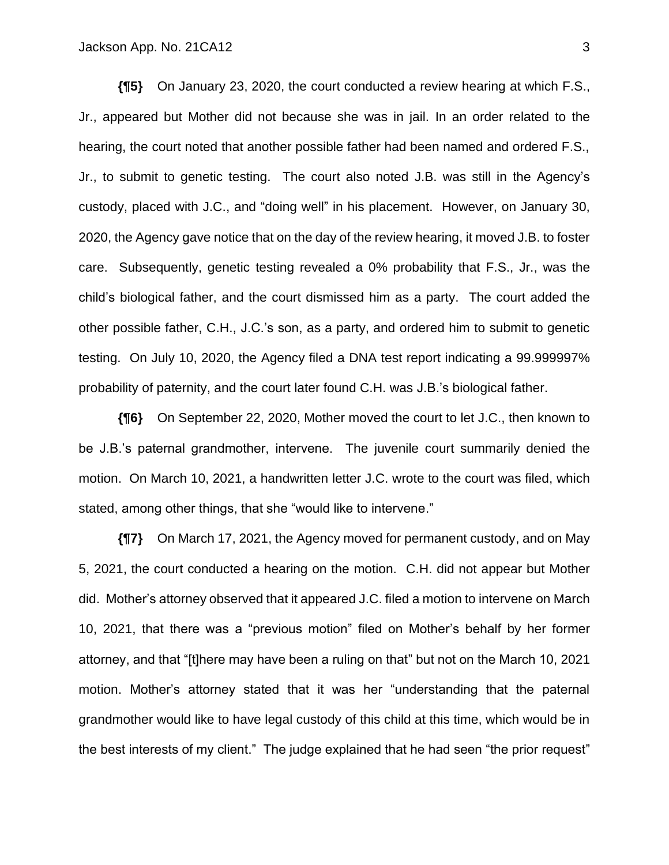**{¶5}** On January 23, 2020, the court conducted a review hearing at which F.S., Jr., appeared but Mother did not because she was in jail. In an order related to the hearing, the court noted that another possible father had been named and ordered F.S., Jr., to submit to genetic testing. The court also noted J.B. was still in the Agency's custody, placed with J.C., and "doing well" in his placement. However, on January 30, 2020, the Agency gave notice that on the day of the review hearing, it moved J.B. to foster care. Subsequently, genetic testing revealed a 0% probability that F.S., Jr., was the child's biological father, and the court dismissed him as a party. The court added the other possible father, C.H., J.C.'s son, as a party, and ordered him to submit to genetic testing. On July 10, 2020, the Agency filed a DNA test report indicating a 99.999997% probability of paternity, and the court later found C.H. was J.B.'s biological father.

**{¶6}** On September 22, 2020, Mother moved the court to let J.C., then known to be J.B.'s paternal grandmother, intervene. The juvenile court summarily denied the motion. On March 10, 2021, a handwritten letter J.C. wrote to the court was filed, which stated, among other things, that she "would like to intervene."

**{¶7}** On March 17, 2021, the Agency moved for permanent custody, and on May 5, 2021, the court conducted a hearing on the motion. C.H. did not appear but Mother did. Mother's attorney observed that it appeared J.C. filed a motion to intervene on March 10, 2021, that there was a "previous motion" filed on Mother's behalf by her former attorney, and that "[t]here may have been a ruling on that" but not on the March 10, 2021 motion. Mother's attorney stated that it was her "understanding that the paternal grandmother would like to have legal custody of this child at this time, which would be in the best interests of my client." The judge explained that he had seen "the prior request"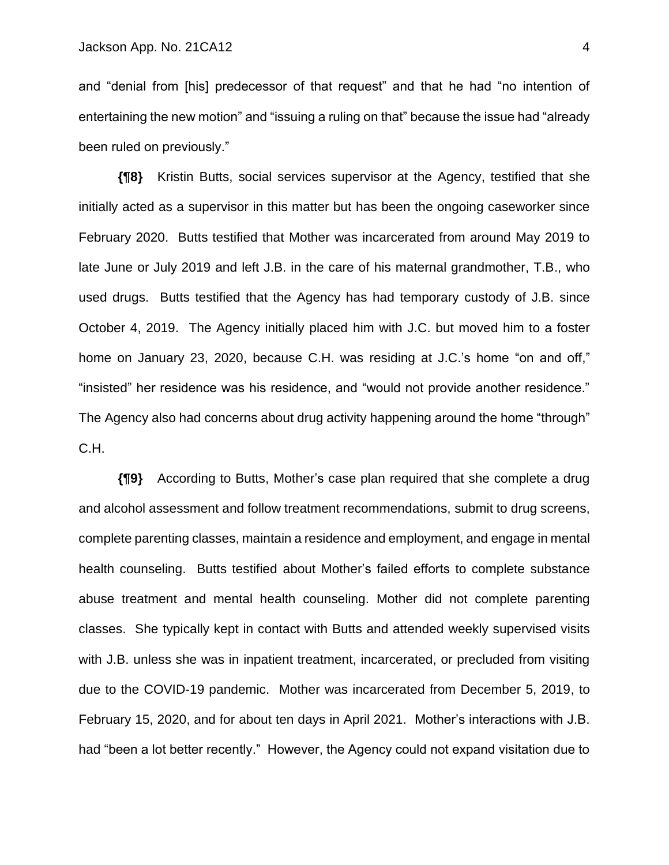and "denial from [his] predecessor of that request" and that he had "no intention of entertaining the new motion" and "issuing a ruling on that" because the issue had "already been ruled on previously."

**{¶8}** Kristin Butts, social services supervisor at the Agency, testified that she initially acted as a supervisor in this matter but has been the ongoing caseworker since February 2020. Butts testified that Mother was incarcerated from around May 2019 to late June or July 2019 and left J.B. in the care of his maternal grandmother, T.B., who used drugs. Butts testified that the Agency has had temporary custody of J.B. since October 4, 2019. The Agency initially placed him with J.C. but moved him to a foster home on January 23, 2020, because C.H. was residing at J.C.'s home "on and off," "insisted" her residence was his residence, and "would not provide another residence." The Agency also had concerns about drug activity happening around the home "through" C.H.

**{¶9}** According to Butts, Mother's case plan required that she complete a drug and alcohol assessment and follow treatment recommendations, submit to drug screens, complete parenting classes, maintain a residence and employment, and engage in mental health counseling. Butts testified about Mother's failed efforts to complete substance abuse treatment and mental health counseling. Mother did not complete parenting classes. She typically kept in contact with Butts and attended weekly supervised visits with J.B. unless she was in inpatient treatment, incarcerated, or precluded from visiting due to the COVID-19 pandemic. Mother was incarcerated from December 5, 2019, to February 15, 2020, and for about ten days in April 2021. Mother's interactions with J.B. had "been a lot better recently." However, the Agency could not expand visitation due to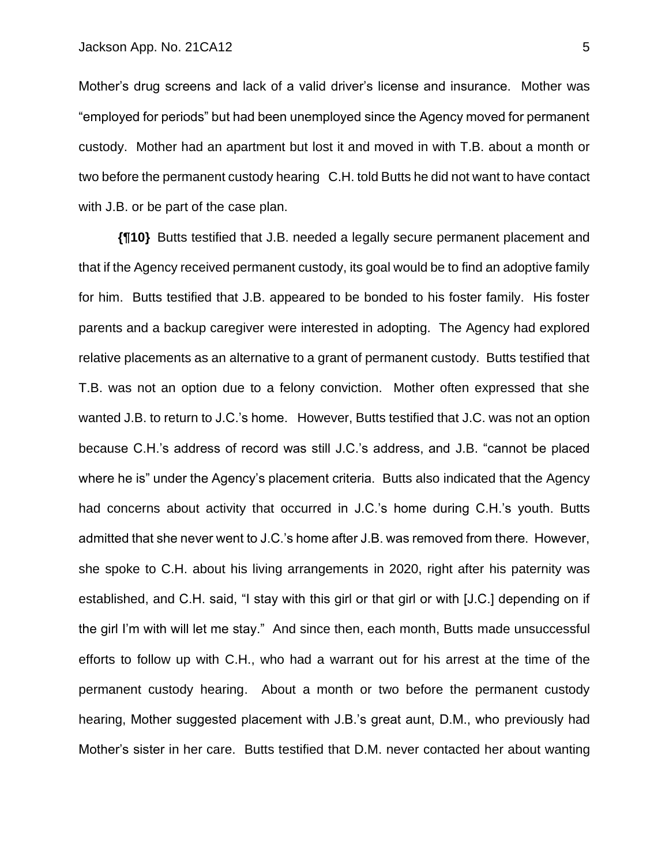Mother's drug screens and lack of a valid driver's license and insurance. Mother was "employed for periods" but had been unemployed since the Agency moved for permanent custody. Mother had an apartment but lost it and moved in with T.B. about a month or two before the permanent custody hearing C.H. told Butts he did not want to have contact with J.B. or be part of the case plan.

**{¶10}** Butts testified that J.B. needed a legally secure permanent placement and that if the Agency received permanent custody, its goal would be to find an adoptive family for him. Butts testified that J.B. appeared to be bonded to his foster family. His foster parents and a backup caregiver were interested in adopting. The Agency had explored relative placements as an alternative to a grant of permanent custody. Butts testified that T.B. was not an option due to a felony conviction. Mother often expressed that she wanted J.B. to return to J.C.'s home. However, Butts testified that J.C. was not an option because C.H.'s address of record was still J.C.'s address, and J.B. "cannot be placed where he is" under the Agency's placement criteria. Butts also indicated that the Agency had concerns about activity that occurred in J.C.'s home during C.H.'s youth. Butts admitted that she never went to J.C.'s home after J.B. was removed from there. However, she spoke to C.H. about his living arrangements in 2020, right after his paternity was established, and C.H. said, "I stay with this girl or that girl or with [J.C.] depending on if the girl I'm with will let me stay." And since then, each month, Butts made unsuccessful efforts to follow up with C.H., who had a warrant out for his arrest at the time of the permanent custody hearing. About a month or two before the permanent custody hearing, Mother suggested placement with J.B.'s great aunt, D.M., who previously had Mother's sister in her care. Butts testified that D.M. never contacted her about wanting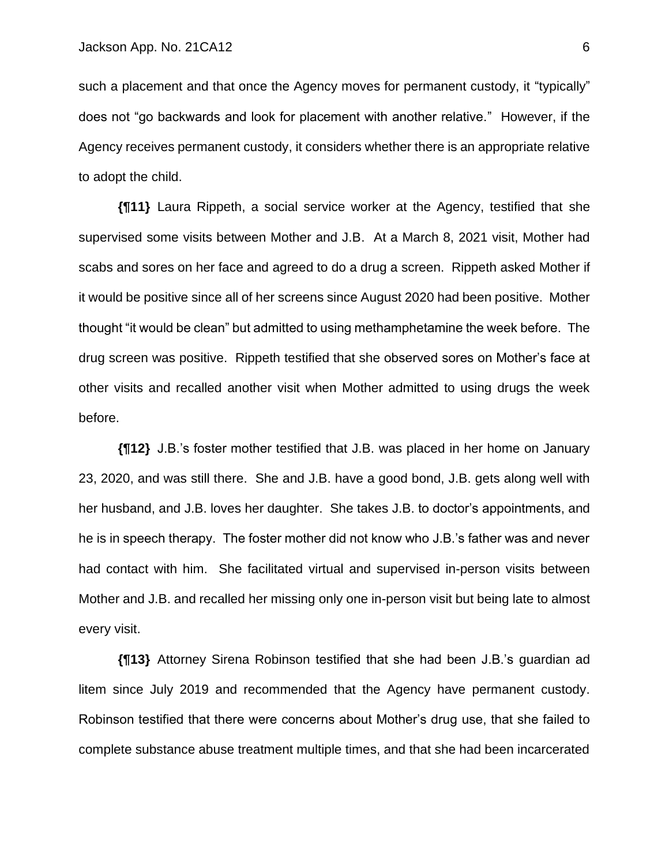such a placement and that once the Agency moves for permanent custody, it "typically" does not "go backwards and look for placement with another relative." However, if the Agency receives permanent custody, it considers whether there is an appropriate relative to adopt the child.

**{¶11}** Laura Rippeth, a social service worker at the Agency, testified that she supervised some visits between Mother and J.B. At a March 8, 2021 visit, Mother had scabs and sores on her face and agreed to do a drug a screen. Rippeth asked Mother if it would be positive since all of her screens since August 2020 had been positive. Mother thought "it would be clean" but admitted to using methamphetamine the week before. The drug screen was positive. Rippeth testified that she observed sores on Mother's face at other visits and recalled another visit when Mother admitted to using drugs the week before.

**{¶12}** J.B.'s foster mother testified that J.B. was placed in her home on January 23, 2020, and was still there. She and J.B. have a good bond, J.B. gets along well with her husband, and J.B. loves her daughter. She takes J.B. to doctor's appointments, and he is in speech therapy. The foster mother did not know who J.B.'s father was and never had contact with him. She facilitated virtual and supervised in-person visits between Mother and J.B. and recalled her missing only one in-person visit but being late to almost every visit.

**{¶13}** Attorney Sirena Robinson testified that she had been J.B.'s guardian ad litem since July 2019 and recommended that the Agency have permanent custody. Robinson testified that there were concerns about Mother's drug use, that she failed to complete substance abuse treatment multiple times, and that she had been incarcerated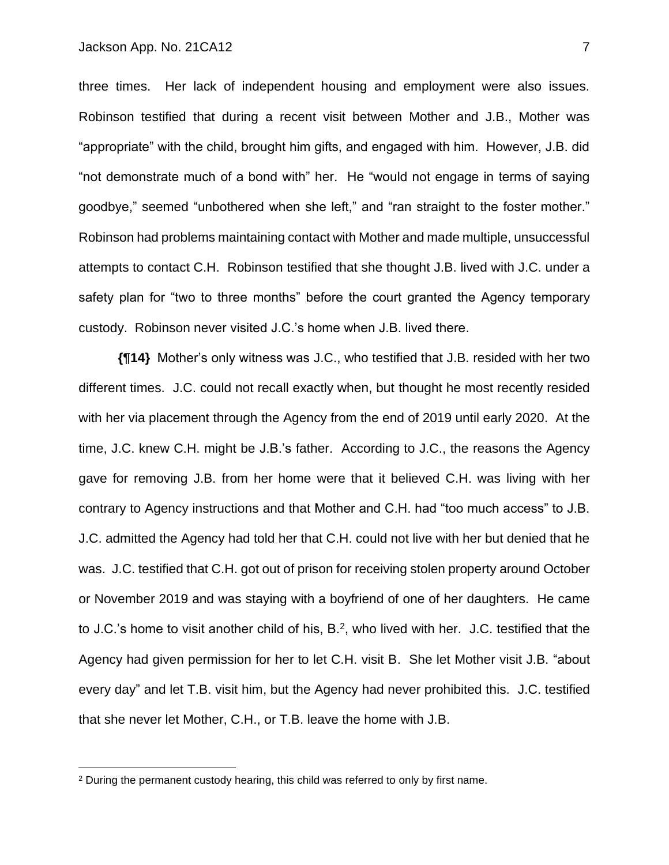three times. Her lack of independent housing and employment were also issues. Robinson testified that during a recent visit between Mother and J.B., Mother was "appropriate" with the child, brought him gifts, and engaged with him. However, J.B. did "not demonstrate much of a bond with" her. He "would not engage in terms of saying goodbye," seemed "unbothered when she left," and "ran straight to the foster mother." Robinson had problems maintaining contact with Mother and made multiple, unsuccessful attempts to contact C.H. Robinson testified that she thought J.B. lived with J.C. under a safety plan for "two to three months" before the court granted the Agency temporary custody. Robinson never visited J.C.'s home when J.B. lived there.

**{¶14}** Mother's only witness was J.C., who testified that J.B. resided with her two different times. J.C. could not recall exactly when, but thought he most recently resided with her via placement through the Agency from the end of 2019 until early 2020. At the time, J.C. knew C.H. might be J.B.'s father. According to J.C., the reasons the Agency gave for removing J.B. from her home were that it believed C.H. was living with her contrary to Agency instructions and that Mother and C.H. had "too much access" to J.B. J.C. admitted the Agency had told her that C.H. could not live with her but denied that he was. J.C. testified that C.H. got out of prison for receiving stolen property around October or November 2019 and was staying with a boyfriend of one of her daughters. He came to J.C.'s home to visit another child of his,  $B<sup>2</sup>$ , who lived with her. J.C. testified that the Agency had given permission for her to let C.H. visit B. She let Mother visit J.B. "about every day" and let T.B. visit him, but the Agency had never prohibited this. J.C. testified that she never let Mother, C.H., or T.B. leave the home with J.B.

<sup>&</sup>lt;sup>2</sup> During the permanent custody hearing, this child was referred to only by first name.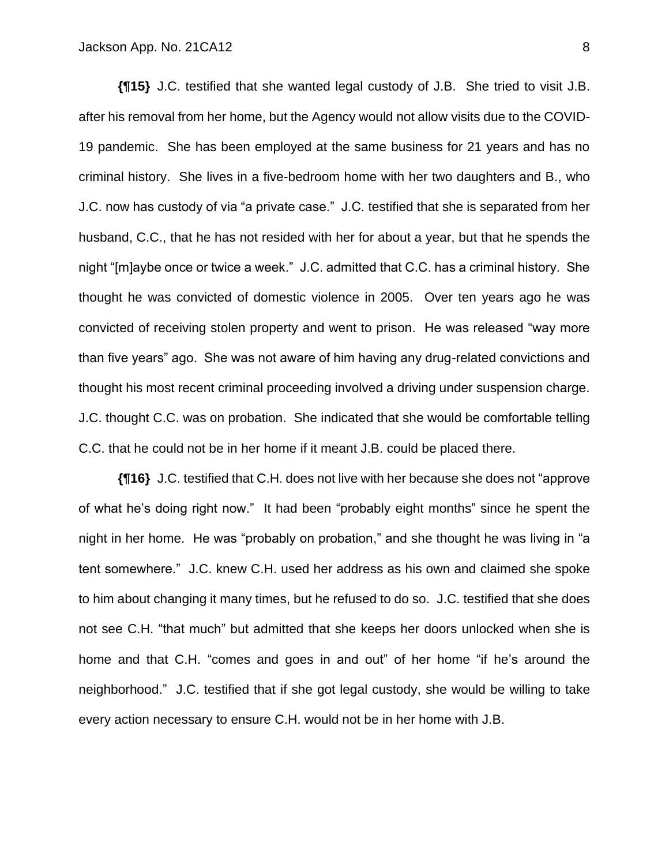**{¶15}** J.C. testified that she wanted legal custody of J.B. She tried to visit J.B. after his removal from her home, but the Agency would not allow visits due to the COVID-19 pandemic. She has been employed at the same business for 21 years and has no criminal history. She lives in a five-bedroom home with her two daughters and B., who J.C. now has custody of via "a private case." J.C. testified that she is separated from her husband, C.C., that he has not resided with her for about a year, but that he spends the night "[m]aybe once or twice a week." J.C. admitted that C.C. has a criminal history. She thought he was convicted of domestic violence in 2005. Over ten years ago he was convicted of receiving stolen property and went to prison. He was released "way more than five years" ago. She was not aware of him having any drug-related convictions and thought his most recent criminal proceeding involved a driving under suspension charge. J.C. thought C.C. was on probation. She indicated that she would be comfortable telling C.C. that he could not be in her home if it meant J.B. could be placed there.

**{¶16}** J.C. testified that C.H. does not live with her because she does not "approve of what he's doing right now." It had been "probably eight months" since he spent the night in her home. He was "probably on probation," and she thought he was living in "a tent somewhere." J.C. knew C.H. used her address as his own and claimed she spoke to him about changing it many times, but he refused to do so. J.C. testified that she does not see C.H. "that much" but admitted that she keeps her doors unlocked when she is home and that C.H. "comes and goes in and out" of her home "if he's around the neighborhood." J.C. testified that if she got legal custody, she would be willing to take every action necessary to ensure C.H. would not be in her home with J.B.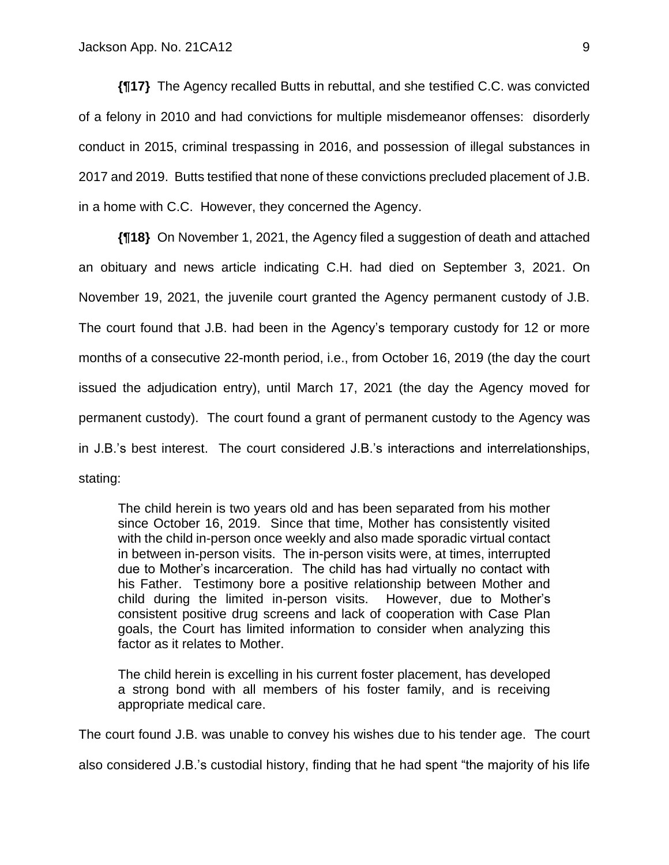**{¶17}** The Agency recalled Butts in rebuttal, and she testified C.C. was convicted of a felony in 2010 and had convictions for multiple misdemeanor offenses: disorderly conduct in 2015, criminal trespassing in 2016, and possession of illegal substances in 2017 and 2019. Butts testified that none of these convictions precluded placement of J.B. in a home with C.C. However, they concerned the Agency.

**{¶18}** On November 1, 2021, the Agency filed a suggestion of death and attached an obituary and news article indicating C.H. had died on September 3, 2021. On November 19, 2021, the juvenile court granted the Agency permanent custody of J.B. The court found that J.B. had been in the Agency's temporary custody for 12 or more months of a consecutive 22-month period, i.e., from October 16, 2019 (the day the court issued the adjudication entry), until March 17, 2021 (the day the Agency moved for permanent custody). The court found a grant of permanent custody to the Agency was in J.B.'s best interest. The court considered J.B.'s interactions and interrelationships, stating:

The child herein is two years old and has been separated from his mother since October 16, 2019. Since that time, Mother has consistently visited with the child in-person once weekly and also made sporadic virtual contact in between in-person visits. The in-person visits were, at times, interrupted due to Mother's incarceration. The child has had virtually no contact with his Father. Testimony bore a positive relationship between Mother and child during the limited in-person visits. However, due to Mother's consistent positive drug screens and lack of cooperation with Case Plan goals, the Court has limited information to consider when analyzing this factor as it relates to Mother.

The child herein is excelling in his current foster placement, has developed a strong bond with all members of his foster family, and is receiving appropriate medical care.

The court found J.B. was unable to convey his wishes due to his tender age. The court

also considered J.B.'s custodial history, finding that he had spent "the majority of his life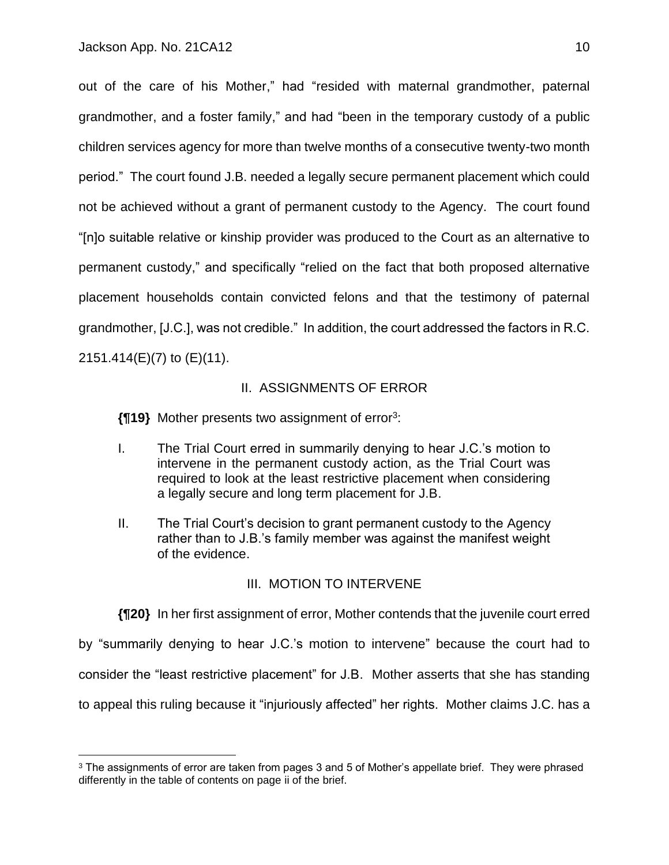out of the care of his Mother," had "resided with maternal grandmother, paternal grandmother, and a foster family," and had "been in the temporary custody of a public children services agency for more than twelve months of a consecutive twenty-two month period." The court found J.B. needed a legally secure permanent placement which could not be achieved without a grant of permanent custody to the Agency. The court found "[n]o suitable relative or kinship provider was produced to the Court as an alternative to permanent custody," and specifically "relied on the fact that both proposed alternative placement households contain convicted felons and that the testimony of paternal grandmother, [J.C.], was not credible." In addition, the court addressed the factors in R.C. 2151.414(E)(7) to (E)(11).

### II. ASSIGNMENTS OF ERROR

**{¶19}** Mother presents two assignment of error<sup>3</sup> :

- I. The Trial Court erred in summarily denying to hear J.C.'s motion to intervene in the permanent custody action, as the Trial Court was required to look at the least restrictive placement when considering a legally secure and long term placement for J.B.
- II. The Trial Court's decision to grant permanent custody to the Agency rather than to J.B.'s family member was against the manifest weight of the evidence.

## III. MOTION TO INTERVENE

**{¶20}** In her first assignment of error, Mother contends that the juvenile court erred by "summarily denying to hear J.C.'s motion to intervene" because the court had to consider the "least restrictive placement" for J.B. Mother asserts that she has standing to appeal this ruling because it "injuriously affected" her rights. Mother claims J.C. has a

<sup>&</sup>lt;sup>3</sup> The assignments of error are taken from pages 3 and 5 of Mother's appellate brief. They were phrased differently in the table of contents on page ii of the brief.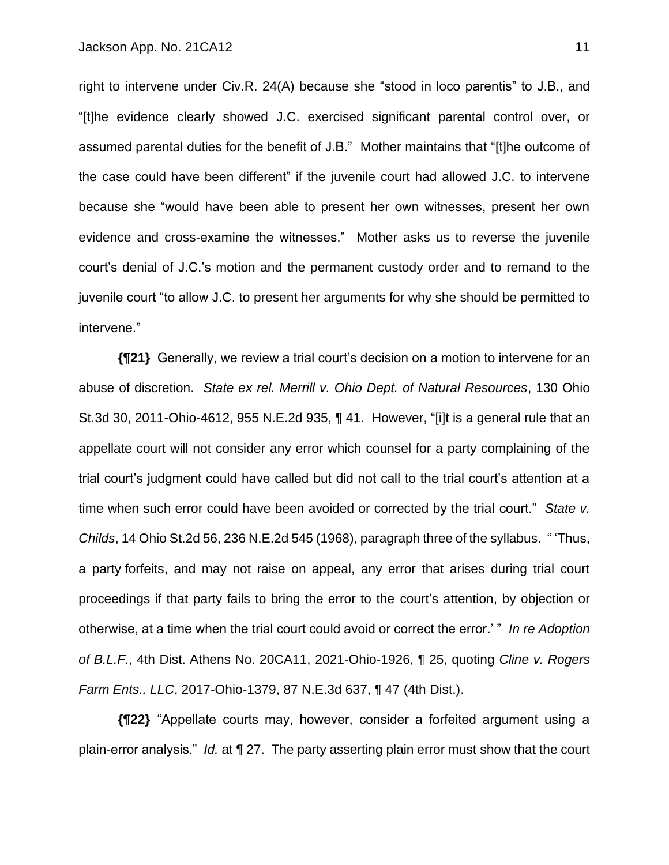right to intervene under Civ.R. 24(A) because she "stood in loco parentis" to J.B., and "[t]he evidence clearly showed J.C. exercised significant parental control over, or assumed parental duties for the benefit of J.B." Mother maintains that "[t]he outcome of the case could have been different" if the juvenile court had allowed J.C. to intervene because she "would have been able to present her own witnesses, present her own evidence and cross-examine the witnesses." Mother asks us to reverse the juvenile court's denial of J.C.'s motion and the permanent custody order and to remand to the juvenile court "to allow J.C. to present her arguments for why she should be permitted to intervene."

**{¶21}** Generally, we review a trial court's decision on a motion to intervene for an abuse of discretion. *State ex rel. Merrill v. Ohio Dept. of Natural Resources*, 130 Ohio St.3d 30, 2011-Ohio-4612, 955 N.E.2d 935, ¶ 41. However, "[i]t is a general rule that an appellate court will not consider any error which counsel for a party complaining of the trial court's judgment could have called but did not call to the trial court's attention at a time when such error could have been avoided or corrected by the trial court." *State v. Childs*, 14 Ohio St.2d 56, 236 N.E.2d 545 (1968), paragraph three of the syllabus. " 'Thus, a party forfeits, and may not raise on appeal, any error that arises during trial court proceedings if that party fails to bring the error to the court's attention, by objection or otherwise, at a time when the trial court could avoid or correct the error.' " *In re Adoption of B.L.F.*, 4th Dist. Athens No. 20CA11, 2021-Ohio-1926, ¶ 25, quoting *Cline v. Rogers Farm Ents., LLC*, 2017-Ohio-1379, 87 N.E.3d 637, ¶ 47 (4th Dist.).

**{¶22}** "Appellate courts may, however, consider a forfeited argument using a plain-error analysis." *Id.* at ¶ 27. The party asserting plain error must show that the court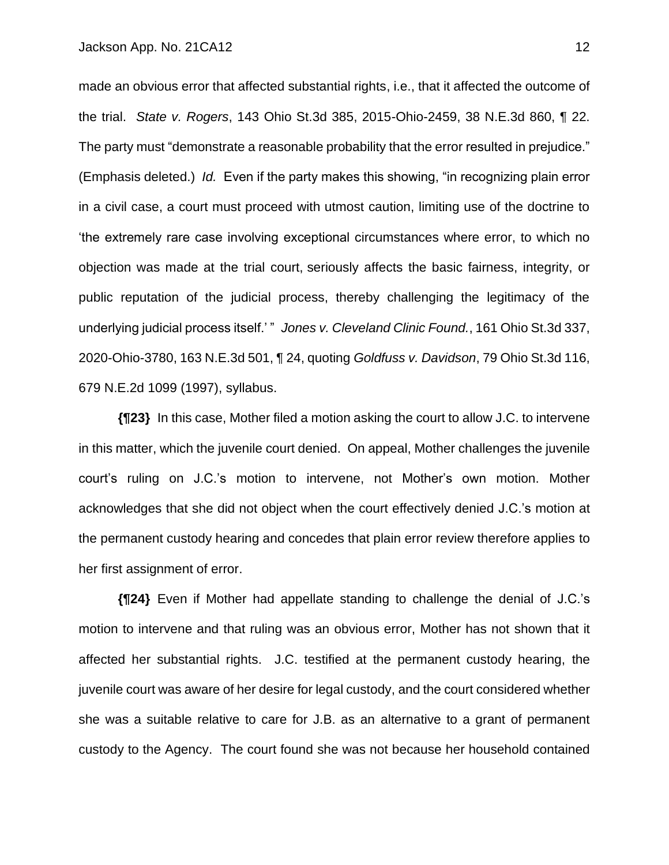made an obvious error that affected substantial rights, i.e., that it affected the outcome of the trial. *State v. Rogers*, 143 Ohio St.3d 385, 2015-Ohio-2459, 38 N.E.3d 860, ¶ 22. The party must "demonstrate a reasonable probability that the error resulted in prejudice." (Emphasis deleted.) *Id.* Even if the party makes this showing, "in recognizing plain error in a civil case, a court must proceed with utmost caution, limiting use of the doctrine to 'the extremely rare case involving exceptional circumstances where error, to which no objection was made at the trial court, seriously affects the basic fairness, integrity, or public reputation of the judicial process, thereby challenging the legitimacy of the underlying judicial process itself.' " *Jones v. Cleveland Clinic Found.*, 161 Ohio St.3d 337, 2020-Ohio-3780, 163 N.E.3d 501, ¶ 24, quoting *Goldfuss v. Davidson*, 79 Ohio St.3d 116, 679 N.E.2d 1099 (1997), syllabus.

**{¶23}** In this case, Mother filed a motion asking the court to allow J.C. to intervene in this matter, which the juvenile court denied. On appeal, Mother challenges the juvenile court's ruling on J.C.'s motion to intervene, not Mother's own motion. Mother acknowledges that she did not object when the court effectively denied J.C.'s motion at the permanent custody hearing and concedes that plain error review therefore applies to her first assignment of error.

**{¶24}** Even if Mother had appellate standing to challenge the denial of J.C.'s motion to intervene and that ruling was an obvious error, Mother has not shown that it affected her substantial rights. J.C. testified at the permanent custody hearing, the juvenile court was aware of her desire for legal custody, and the court considered whether she was a suitable relative to care for J.B. as an alternative to a grant of permanent custody to the Agency. The court found she was not because her household contained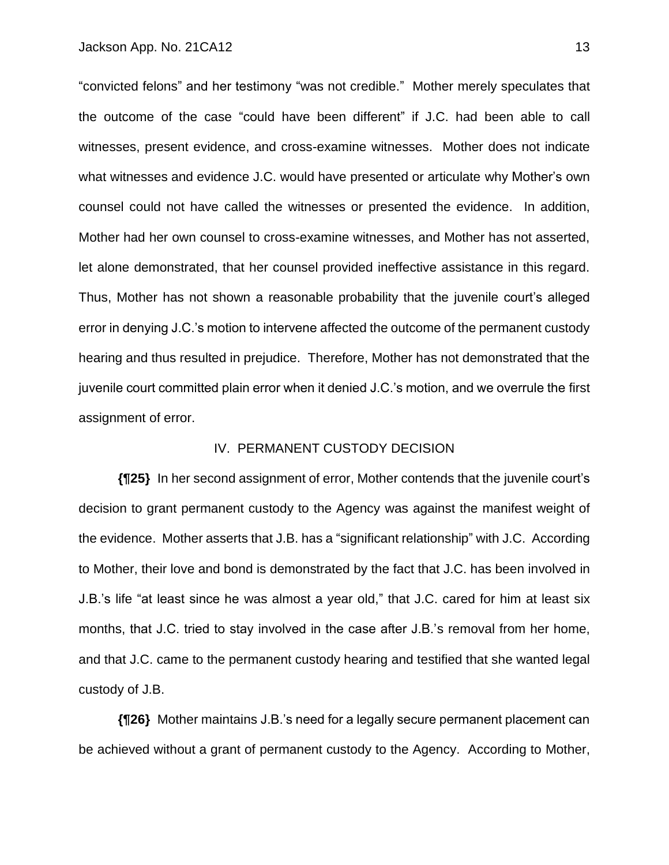"convicted felons" and her testimony "was not credible." Mother merely speculates that the outcome of the case "could have been different" if J.C. had been able to call witnesses, present evidence, and cross-examine witnesses. Mother does not indicate what witnesses and evidence J.C. would have presented or articulate why Mother's own counsel could not have called the witnesses or presented the evidence. In addition, Mother had her own counsel to cross-examine witnesses, and Mother has not asserted, let alone demonstrated, that her counsel provided ineffective assistance in this regard. Thus, Mother has not shown a reasonable probability that the juvenile court's alleged error in denying J.C.'s motion to intervene affected the outcome of the permanent custody hearing and thus resulted in prejudice. Therefore, Mother has not demonstrated that the juvenile court committed plain error when it denied J.C.'s motion, and we overrule the first assignment of error.

## IV. PERMANENT CUSTODY DECISION

**{¶25}** In her second assignment of error, Mother contends that the juvenile court's decision to grant permanent custody to the Agency was against the manifest weight of the evidence. Mother asserts that J.B. has a "significant relationship" with J.C. According to Mother, their love and bond is demonstrated by the fact that J.C. has been involved in J.B.'s life "at least since he was almost a year old," that J.C. cared for him at least six months, that J.C. tried to stay involved in the case after J.B.'s removal from her home, and that J.C. came to the permanent custody hearing and testified that she wanted legal custody of J.B.

**{¶26}** Mother maintains J.B.'s need for a legally secure permanent placement can be achieved without a grant of permanent custody to the Agency. According to Mother,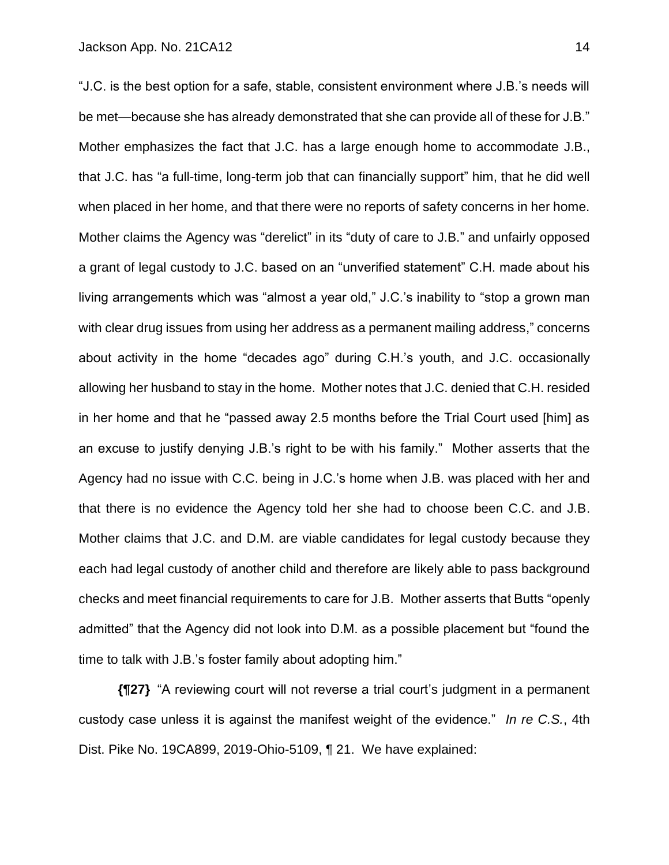"J.C. is the best option for a safe, stable, consistent environment where J.B.'s needs will be met—because she has already demonstrated that she can provide all of these for J.B." Mother emphasizes the fact that J.C. has a large enough home to accommodate J.B., that J.C. has "a full-time, long-term job that can financially support" him, that he did well when placed in her home, and that there were no reports of safety concerns in her home. Mother claims the Agency was "derelict" in its "duty of care to J.B." and unfairly opposed a grant of legal custody to J.C. based on an "unverified statement" C.H. made about his living arrangements which was "almost a year old," J.C.'s inability to "stop a grown man with clear drug issues from using her address as a permanent mailing address," concerns about activity in the home "decades ago" during C.H.'s youth, and J.C. occasionally allowing her husband to stay in the home. Mother notes that J.C. denied that C.H. resided in her home and that he "passed away 2.5 months before the Trial Court used [him] as an excuse to justify denying J.B.'s right to be with his family." Mother asserts that the Agency had no issue with C.C. being in J.C.'s home when J.B. was placed with her and that there is no evidence the Agency told her she had to choose been C.C. and J.B. Mother claims that J.C. and D.M. are viable candidates for legal custody because they each had legal custody of another child and therefore are likely able to pass background checks and meet financial requirements to care for J.B. Mother asserts that Butts "openly admitted" that the Agency did not look into D.M. as a possible placement but "found the time to talk with J.B.'s foster family about adopting him."

**{¶27}** "A reviewing court will not reverse a trial court's judgment in a permanent custody case unless it is against the manifest weight of the evidence." *In re C.S.*, 4th Dist. Pike No. 19CA899, 2019-Ohio-5109, ¶ 21. We have explained: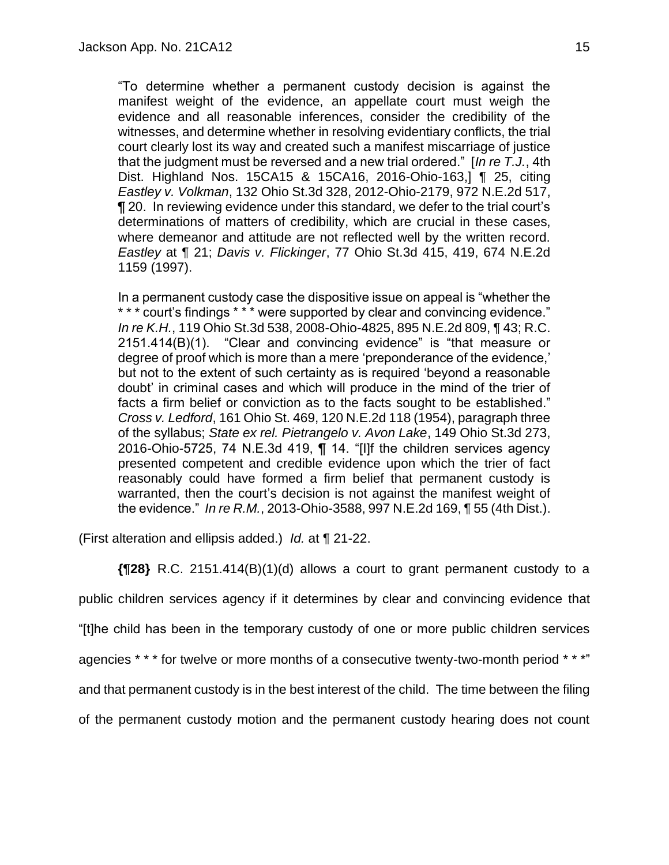"To determine whether a permanent custody decision is against the manifest weight of the evidence, an appellate court must weigh the evidence and all reasonable inferences, consider the credibility of the witnesses, and determine whether in resolving evidentiary conflicts, the trial court clearly lost its way and created such a manifest miscarriage of justice that the judgment must be reversed and a new trial ordered." [*In re T.J.*, 4th Dist. Highland Nos. 15CA15 & 15CA16, 2016-Ohio-163,] ¶ 25, citing *Eastley v. Volkman*, 132 Ohio St.3d 328, 2012-Ohio-2179, 972 N.E.2d 517, ¶ 20. In reviewing evidence under this standard, we defer to the trial court's determinations of matters of credibility, which are crucial in these cases, where demeanor and attitude are not reflected well by the written record. *Eastley* at ¶ 21; *Davis v. Flickinger*, 77 Ohio St.3d 415, 419, 674 N.E.2d 1159 (1997).

In a permanent custody case the dispositive issue on appeal is "whether the \* \* \* court's findings \* \* \* were supported by clear and convincing evidence." *In re K.H.*, 119 Ohio St.3d 538, 2008-Ohio-4825, 895 N.E.2d 809, ¶ 43; R.C. 2151.414(B)(1). "Clear and convincing evidence" is "that measure or degree of proof which is more than a mere 'preponderance of the evidence,' but not to the extent of such certainty as is required 'beyond a reasonable doubt' in criminal cases and which will produce in the mind of the trier of facts a firm belief or conviction as to the facts sought to be established." *Cross v. Ledford*, 161 Ohio St. 469, 120 N.E.2d 118 (1954), paragraph three of the syllabus; *State ex rel. Pietrangelo v. Avon Lake*, 149 Ohio St.3d 273, 2016-Ohio-5725, 74 N.E.3d 419, ¶ 14. "[I]f the children services agency presented competent and credible evidence upon which the trier of fact reasonably could have formed a firm belief that permanent custody is warranted, then the court's decision is not against the manifest weight of the evidence." *In re R.M.*, 2013-Ohio-3588, 997 N.E.2d 169, ¶ 55 (4th Dist.).

(First alteration and ellipsis added.) *Id.* at ¶ 21-22.

**{¶28}** R.C. 2151.414(B)(1)(d) allows a court to grant permanent custody to a public children services agency if it determines by clear and convincing evidence that "[t]he child has been in the temporary custody of one or more public children services agencies \* \* \* for twelve or more months of a consecutive twenty-two-month period \* \* \*" and that permanent custody is in the best interest of the child. The time between the filing of the permanent custody motion and the permanent custody hearing does not count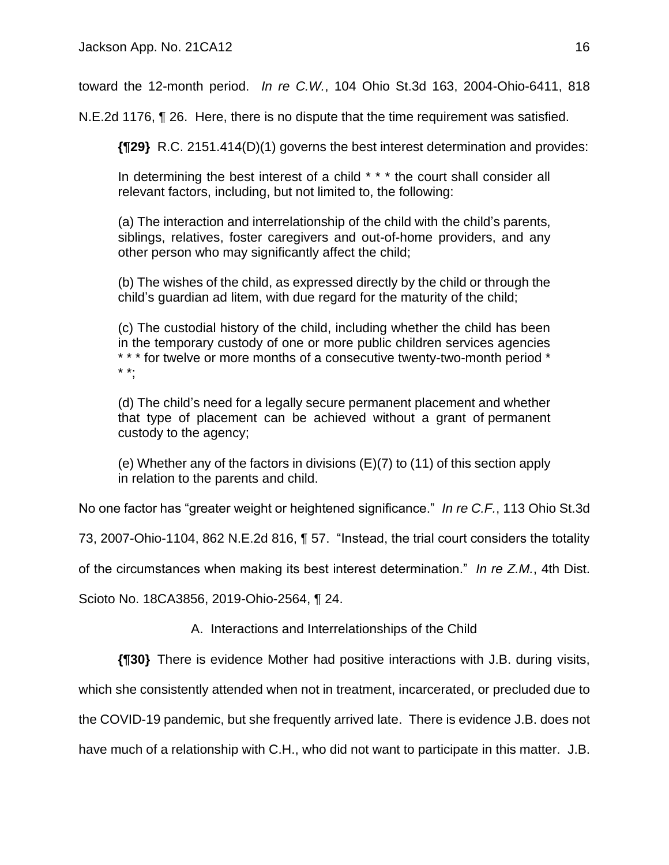toward the 12-month period. *In re C.W.*, 104 Ohio St.3d 163, 2004-Ohio-6411, 818

N.E.2d 1176, ¶ 26. Here, there is no dispute that the time requirement was satisfied.

**{¶29}** R.C. 2151.414(D)(1) governs the best interest determination and provides:

In determining the best interest of a child \* \* \* the court shall consider all relevant factors, including, but not limited to, the following:

(a) The interaction and interrelationship of the child with the child's parents, siblings, relatives, foster caregivers and out-of-home providers, and any other person who may significantly affect the child;

(b) The wishes of the child, as expressed directly by the child or through the child's guardian ad litem, with due regard for the maturity of the child;

(c) The custodial history of the child, including whether the child has been in the temporary custody of one or more public children services agencies \* \* \* for twelve or more months of a consecutive twenty-two-month period \* \* \*;

(d) The child's need for a legally secure permanent placement and whether that type of placement can be achieved without a grant of permanent custody to the agency;

(e) Whether any of the factors in divisions (E)(7) to (11) of this section apply in relation to the parents and child.

No one factor has "greater weight or heightened significance." *In re C.F.*, 113 Ohio St.3d

73, 2007-Ohio-1104, 862 N.E.2d 816, ¶ 57. "Instead, the trial court considers the totality

of the circumstances when making its best interest determination." *In re Z.M.*, 4th Dist.

Scioto No. 18CA3856, 2019-Ohio-2564, ¶ 24.

A. Interactions and Interrelationships of the Child

**{¶30}** There is evidence Mother had positive interactions with J.B. during visits,

which she consistently attended when not in treatment, incarcerated, or precluded due to

the COVID-19 pandemic, but she frequently arrived late. There is evidence J.B. does not

have much of a relationship with C.H., who did not want to participate in this matter. J.B.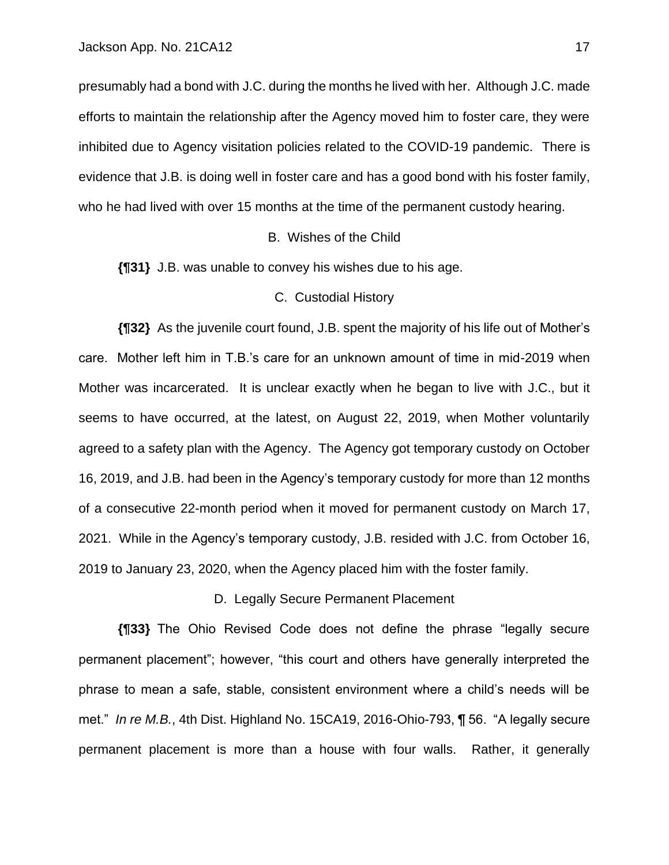presumably had a bond with J.C. during the months he lived with her. Although J.C. made efforts to maintain the relationship after the Agency moved him to foster care, they were inhibited due to Agency visitation policies related to the COVID-19 pandemic. There is evidence that J.B. is doing well in foster care and has a good bond with his foster family, who he had lived with over 15 months at the time of the permanent custody hearing.

#### B. Wishes of the Child

**{¶31}** J.B. was unable to convey his wishes due to his age.

#### C. Custodial History

**{¶32}** As the juvenile court found, J.B. spent the majority of his life out of Mother's care. Mother left him in T.B.'s care for an unknown amount of time in mid-2019 when Mother was incarcerated. It is unclear exactly when he began to live with J.C., but it seems to have occurred, at the latest, on August 22, 2019, when Mother voluntarily agreed to a safety plan with the Agency. The Agency got temporary custody on October 16, 2019, and J.B. had been in the Agency's temporary custody for more than 12 months of a consecutive 22-month period when it moved for permanent custody on March 17, 2021. While in the Agency's temporary custody, J.B. resided with J.C. from October 16, 2019 to January 23, 2020, when the Agency placed him with the foster family.

D. Legally Secure Permanent Placement

**{¶33}** The Ohio Revised Code does not define the phrase "legally secure permanent placement"; however, "this court and others have generally interpreted the phrase to mean a safe, stable, consistent environment where a child's needs will be met." *In re M.B.*, 4th Dist. Highland No. 15CA19, 2016-Ohio-793, ¶ 56. "A legally secure permanent placement is more than a house with four walls. Rather, it generally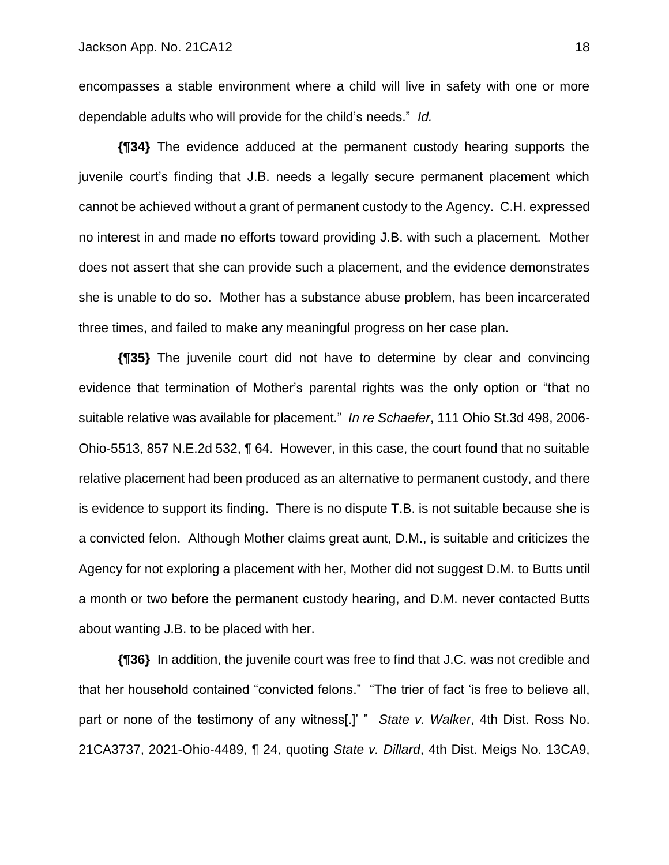encompasses a stable environment where a child will live in safety with one or more dependable adults who will provide for the child's needs." *Id.*

**{¶34}** The evidence adduced at the permanent custody hearing supports the juvenile court's finding that J.B. needs a legally secure permanent placement which cannot be achieved without a grant of permanent custody to the Agency. C.H. expressed no interest in and made no efforts toward providing J.B. with such a placement. Mother does not assert that she can provide such a placement, and the evidence demonstrates she is unable to do so. Mother has a substance abuse problem, has been incarcerated three times, and failed to make any meaningful progress on her case plan.

**{¶35}** The juvenile court did not have to determine by clear and convincing evidence that termination of Mother's parental rights was the only option or "that no suitable relative was available for placement." *In re Schaefer*, 111 Ohio St.3d 498, 2006- Ohio-5513, 857 N.E.2d 532, ¶ 64. However, in this case, the court found that no suitable relative placement had been produced as an alternative to permanent custody, and there is evidence to support its finding. There is no dispute T.B. is not suitable because she is a convicted felon. Although Mother claims great aunt, D.M., is suitable and criticizes the Agency for not exploring a placement with her, Mother did not suggest D.M. to Butts until a month or two before the permanent custody hearing, and D.M. never contacted Butts about wanting J.B. to be placed with her.

**{¶36}** In addition, the juvenile court was free to find that J.C. was not credible and that her household contained "convicted felons." "The trier of fact 'is free to believe all, part or none of the testimony of any witness[.]' " *State v. Walker*, 4th Dist. Ross No. 21CA3737, 2021-Ohio-4489, ¶ 24, quoting *State v. Dillard*, 4th Dist. Meigs No. 13CA9,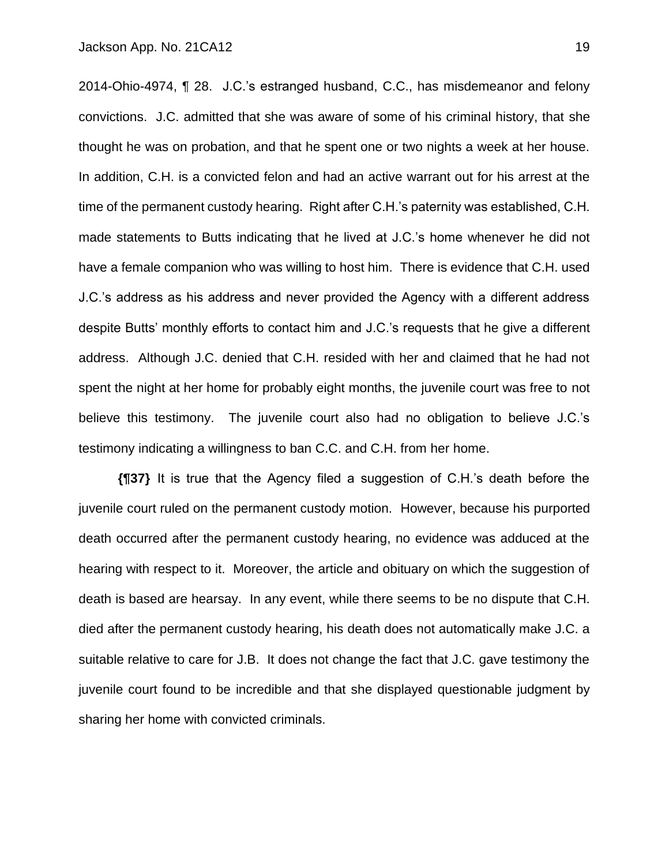2014-Ohio-4974, ¶ 28. J.C.'s estranged husband, C.C., has misdemeanor and felony convictions. J.C. admitted that she was aware of some of his criminal history, that she thought he was on probation, and that he spent one or two nights a week at her house. In addition, C.H. is a convicted felon and had an active warrant out for his arrest at the time of the permanent custody hearing. Right after C.H.'s paternity was established, C.H. made statements to Butts indicating that he lived at J.C.'s home whenever he did not have a female companion who was willing to host him. There is evidence that C.H. used J.C.'s address as his address and never provided the Agency with a different address despite Butts' monthly efforts to contact him and J.C.'s requests that he give a different address. Although J.C. denied that C.H. resided with her and claimed that he had not spent the night at her home for probably eight months, the juvenile court was free to not believe this testimony. The juvenile court also had no obligation to believe J.C.'s testimony indicating a willingness to ban C.C. and C.H. from her home.

**{¶37}** It is true that the Agency filed a suggestion of C.H.'s death before the juvenile court ruled on the permanent custody motion. However, because his purported death occurred after the permanent custody hearing, no evidence was adduced at the hearing with respect to it. Moreover, the article and obituary on which the suggestion of death is based are hearsay. In any event, while there seems to be no dispute that C.H. died after the permanent custody hearing, his death does not automatically make J.C. a suitable relative to care for J.B. It does not change the fact that J.C. gave testimony the juvenile court found to be incredible and that she displayed questionable judgment by sharing her home with convicted criminals.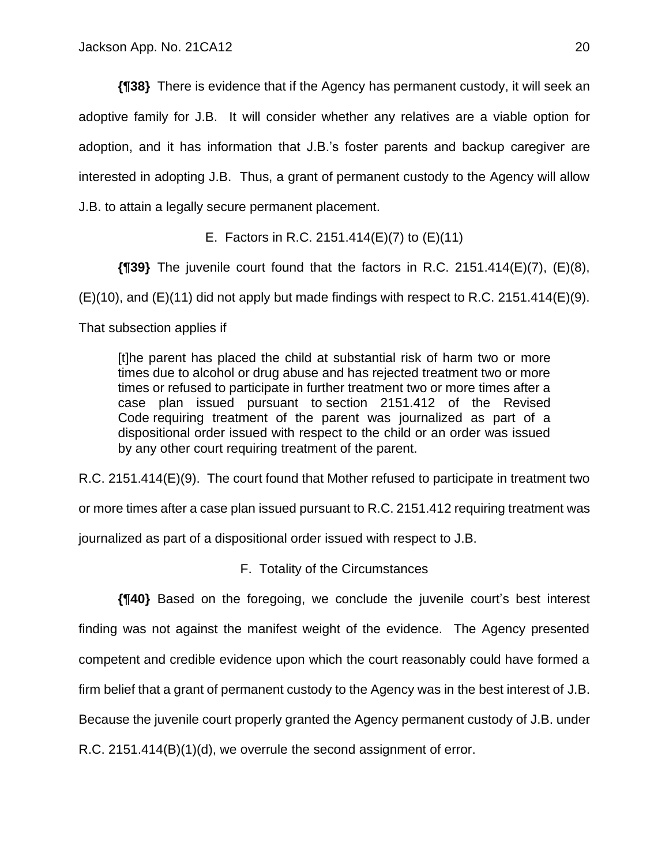**{¶38}** There is evidence that if the Agency has permanent custody, it will seek an adoptive family for J.B. It will consider whether any relatives are a viable option for adoption, and it has information that J.B.'s foster parents and backup caregiver are interested in adopting J.B. Thus, a grant of permanent custody to the Agency will allow J.B. to attain a legally secure permanent placement.

E. Factors in R.C. 2151.414(E)(7) to (E)(11)

**{¶39}** The juvenile court found that the factors in R.C. 2151.414(E)(7), (E)(8),

 $(E)(10)$ , and  $(E)(11)$  did not apply but made findings with respect to R.C. 2151.414 $(E)(9)$ .

That subsection applies if

[t]he parent has placed the child at substantial risk of harm two or more times due to alcohol or drug abuse and has rejected treatment two or more times or refused to participate in further treatment two or more times after a case plan issued pursuant to section 2151.412 of the Revised Code requiring treatment of the parent was journalized as part of a dispositional order issued with respect to the child or an order was issued by any other court requiring treatment of the parent.

R.C. 2151.414(E)(9). The court found that Mother refused to participate in treatment two

or more times after a case plan issued pursuant to R.C. 2151.412 requiring treatment was

journalized as part of a dispositional order issued with respect to J.B.

F. Totality of the Circumstances

**{¶40}** Based on the foregoing, we conclude the juvenile court's best interest finding was not against the manifest weight of the evidence. The Agency presented competent and credible evidence upon which the court reasonably could have formed a firm belief that a grant of permanent custody to the Agency was in the best interest of J.B. Because the juvenile court properly granted the Agency permanent custody of J.B. under R.C. 2151.414(B)(1)(d), we overrule the second assignment of error.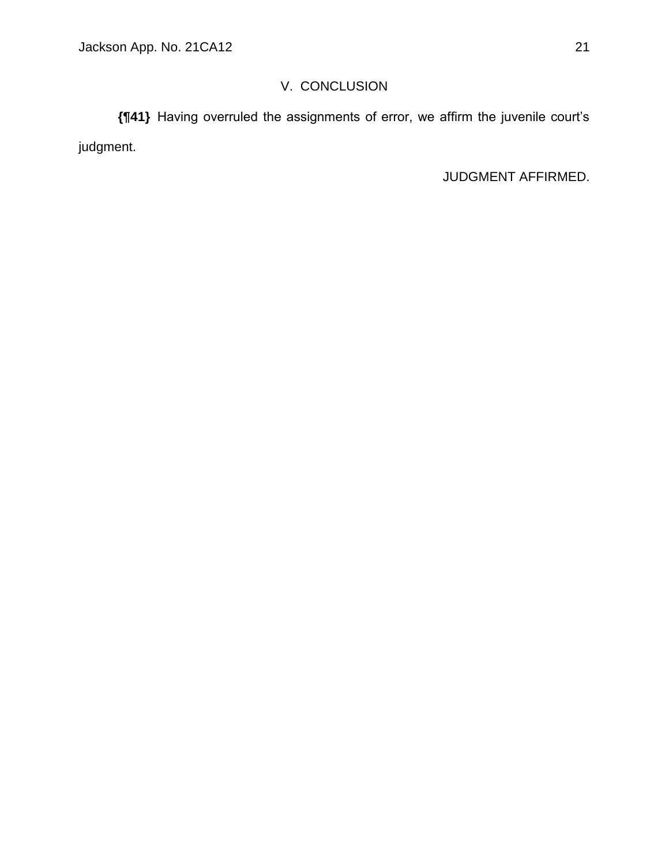# V. CONCLUSION

**{¶41}** Having overruled the assignments of error, we affirm the juvenile court's judgment.

JUDGMENT AFFIRMED.